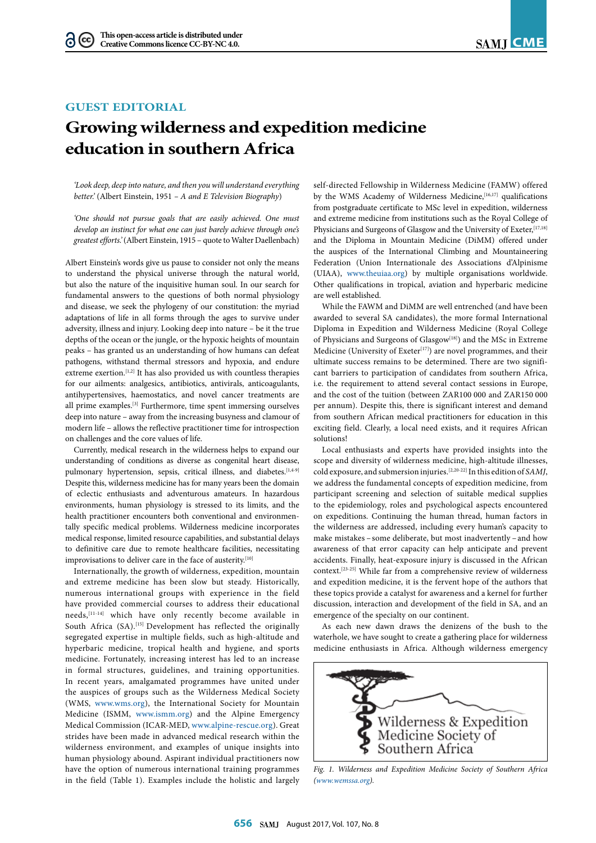## **GUEST EDITORIAL**

# **Growing wilderness and expedition medicine education in southern Africa**

*'Look deep, deep into nature, and then you will understand everything better.'* (Albert Einstein, 1951 *– A and E Television Biography*)

'One should not pursue goals that are easily achieved. One must *develop an instinct for what one can just barely achieve through one's greatest efforts.'* (Albert Einstein, 1915 – quote to Walter Daellenbach)

Albert Einstein's words give us pause to consider not only the means to understand the physical universe through the natural world, but also the nature of the inquisitive human soul. In our search for fundamental answers to the questions of both normal physiology and disease, we seek the phylogeny of our constitution: the myriad adaptations of life in all forms through the ages to survive under adversity, illness and injury. Looking deep into nature – be it the true depths of the ocean or the jungle, or the hypoxic heights of mountain peaks – has granted us an understanding of how humans can defeat pathogens, withstand thermal stressors and hypoxia, and endure extreme exertion.<sup>[1,2]</sup> It has also provided us with countless therapies for our ailments: analgesics, antibiotics, antivirals, anticoagulants, antihypertensives, haemostatics, and novel cancer treatments are all prime examples.<sup>[3]</sup> Furthermore, time spent immersing ourselves deep into nature – away from the increasing busyness and clamour of modern life – allows the reflective practitioner time for introspection on challenges and the core values of life.

Currently, medical research in the wilderness helps to expand our understanding of conditions as diverse as congenital heart disease, pulmonary hypertension, sepsis, critical illness, and diabetes.<sup>[1,4-9]</sup> Despite this, wilderness medicine has for many years been the domain of eclectic enthusiasts and adventurous amateurs. In hazardous environments, human physiology is stressed to its limits, and the health practitioner encounters both conventional and environmentally specific medical problems. Wilderness medicine incorporates medical response, limited resource capabilities, and substantial delays to definitive care due to remote healthcare facilities, necessitating improvisations to deliver care in the face of austerity.<sup>[10]</sup>

Internationally, the growth of wilderness, expedition, mountain and extreme medicine has been slow but steady. Historically, numerous international groups with experience in the field have provided commercial courses to address their educational needs,[11-14] which have only recently become available in South Africa (SA).<sup>[15]</sup> Development has reflected the originally segregated expertise in multiple fields, such as high-altitude and hyperbaric medicine, tropical health and hygiene, and sports medicine. Fortunately, increasing interest has led to an increase in formal structures, guidelines, and training opportunities. In recent years, amalgamated programmes have united under the auspices of groups such as the Wilderness Medical Society (WMS, [www.wms.org\)](www.wms.org), the International Society for Mountain Medicine (ISMM, <www.ismm.org>) and the Alpine Emergency Medical Commission (ICAR-MED, [www.alpine-rescue.org\)](www.alpine-rescue.org). Great strides have been made in advanced medical research within the wilderness environment, and examples of unique insights into human physiology abound. Aspirant individual practitioners now have the option of numerous international training programmes in the field (Table 1). Examples include the holistic and largely

self-directed Fellowship in Wilderness Medicine (FAMW) offered by the WMS Academy of Wilderness Medicine, [16,17] qualifications from postgraduate certificate to MSc level in expedition, wilderness and extreme medicine from institutions such as the Royal College of Physicians and Surgeons of Glasgow and the University of Exeter, [17,18] and the Diploma in Mountain Medicine (DiMM) offered under the auspices of the International Climbing and Mountaineering Federation (Union Internationale des Associations d'Alpinisme (UIAA), <www.theuiaa.org>) by multiple organisations worldwide. Other qualifications in tropical, aviation and hyperbaric medicine are well established.

While the FAWM and DiMM are well entrenched (and have been awarded to several SA candidates), the more formal International Diploma in Expedition and Wilderness Medicine (Royal College of Physicians and Surgeons of Glasgow<sup>[18]</sup>) and the MSc in Extreme Medicine (University of Exeter<sup>[17]</sup>) are novel programmes, and their ultimate success remains to be determined. There are two significant barriers to participation of candidates from southern Africa, i.e. the requirement to attend several contact sessions in Europe, and the cost of the tuition (between ZAR100 000 and ZAR150 000 per annum). Despite this, there is significant interest and demand from southern African medical practitioners for education in this exciting field. Clearly, a local need exists, and it requires African solutions!

Local enthusiasts and experts have provided insights into the scope and diversity of wilderness medicine, high-altitude illnesses, cold exposure, and submersion injuries.[2,20-22] In this edition of *SAMJ*, we address the fundamental concepts of expedition medicine, from participant screening and selection of suitable medical supplies to the epidemiology, roles and psychological aspects encountered on expeditions. Continuing the human thread, human factors in the wilderness are addressed, including every human's capacity to make mistakes – some deliberate, but most inadvertently – and how awareness of that error capacity can help anticipate and prevent accidents. Finally, heat-exposure injury is discussed in the African context.[23-25] While far from a comprehensive review of wilderness and expedition medicine, it is the fervent hope of the authors that these topics provide a catalyst for awareness and a kernel for further discussion, interaction and development of the field in SA, and an emergence of the specialty on our continent.

As each new dawn draws the denizens of the bush to the waterhole, we have sought to create a gathering place for wilderness medicine enthusiasts in Africa. Although wilderness emergency



*Fig. 1. Wilderness and Expedition Medicine Society of Southern Africa (<www.wemssa.org>).*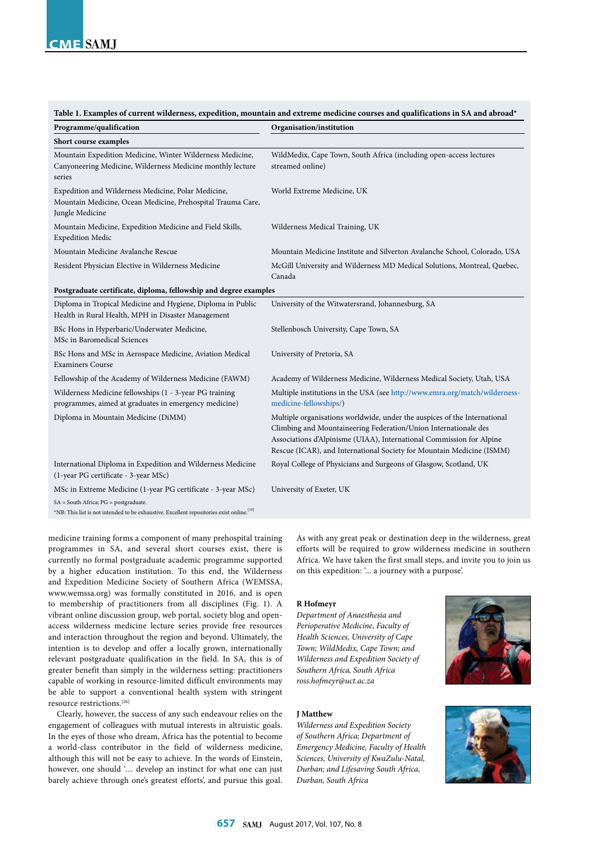| Programme/qualification                                                                                                                                                                                          | Organisation/institution                                                                                                                                                                                                                                                                      |
|------------------------------------------------------------------------------------------------------------------------------------------------------------------------------------------------------------------|-----------------------------------------------------------------------------------------------------------------------------------------------------------------------------------------------------------------------------------------------------------------------------------------------|
| Short course examples                                                                                                                                                                                            |                                                                                                                                                                                                                                                                                               |
| Mountain Expedition Medicine, Winter Wilderness Medicine,<br>Canyoneering Medicine, Wilderness Medicine monthly lecture<br>series                                                                                | WildMedix, Cape Town, South Africa (including open-access lectures<br>streamed online)                                                                                                                                                                                                        |
| Expedition and Wilderness Medicine, Polar Medicine,<br>Mountain Medicine, Ocean Medicine, Prehospital Trauma Care,<br>Jungle Medicine                                                                            | World Extreme Medicine, UK                                                                                                                                                                                                                                                                    |
| Mountain Medicine, Expedition Medicine and Field Skills,<br><b>Expedition Medic</b>                                                                                                                              | Wilderness Medical Training, UK                                                                                                                                                                                                                                                               |
| Mountain Medicine Avalanche Rescue                                                                                                                                                                               | Mountain Medicine Institute and Silverton Avalanche School, Colorado, USA                                                                                                                                                                                                                     |
| Resident Physician Elective in Wilderness Medicine                                                                                                                                                               | McGill University and Wilderness MD Medical Solutions, Montreal, Quebec,<br>Canada                                                                                                                                                                                                            |
| Postgraduate certificate, diploma, fellowship and degree examples                                                                                                                                                |                                                                                                                                                                                                                                                                                               |
| Diploma in Tropical Medicine and Hygiene, Diploma in Public<br>Health in Rural Health, MPH in Disaster Management                                                                                                | University of the Witwatersrand, Johannesburg, SA                                                                                                                                                                                                                                             |
| BSc Hons in Hyperbaric/Underwater Medicine,<br>MSc in Baromedical Sciences                                                                                                                                       | Stellenbosch University, Cape Town, SA                                                                                                                                                                                                                                                        |
| BSc Hons and MSc in Aerospace Medicine, Aviation Medical<br><b>Examiners Course</b>                                                                                                                              | University of Pretoria, SA                                                                                                                                                                                                                                                                    |
| Fellowship of the Academy of Wilderness Medicine (FAWM)                                                                                                                                                          | Academy of Wilderness Medicine, Wilderness Medical Society, Utah, USA                                                                                                                                                                                                                         |
| Wilderness Medicine fellowships (1 - 3-year PG training<br>programmes, aimed at graduates in emergency medicine)                                                                                                 | Multiple institutions in the USA (see http://www.emra.org/match/wilderness-<br>medicine-fellowships/)                                                                                                                                                                                         |
| Diploma in Mountain Medicine (DiMM)                                                                                                                                                                              | Multiple organisations worldwide, under the auspices of the International<br>Climbing and Mountaineering Federation/Union Internationale des<br>Associations d'Alpinisme (UIAA), International Commission for Alpine<br>Rescue (ICAR), and International Society for Mountain Medicine (ISMM) |
| International Diploma in Expedition and Wilderness Medicine<br>(1-year PG certificate - 3-year MSc)                                                                                                              | Royal College of Physicians and Surgeons of Glasgow, Scotland, UK                                                                                                                                                                                                                             |
| MSc in Extreme Medicine (1-year PG certificate - 3-year MSc)<br>$SA = South Africa; PG = postgraduate.$<br>*NB: This list is not intended to be exhaustive. Excellent repositories exist online. <sup>[19]</sup> | University of Exeter, UK                                                                                                                                                                                                                                                                      |

#### **Table 1. Examples of current wilderness, expedition, mountain and extreme medicine courses and qualifications in SA and abroad\***

medicine training forms a component of many prehospital training programmes in SA, and several short courses exist, there is currently no formal postgraduate academic programme supported by a higher education institution. To this end, the Wilderness and Expedition Medicine Society of Southern Africa (WEMSSA, [www.wemssa.org\)](www.wemssa.org) was formally constituted in 2016, and is open to membership of practitioners from all disciplines (Fig. 1). A vibrant online discussion group, web portal, society blog and openaccess wilderness medicine lecture series provide free resources and interaction throughout the region and beyond. Ultimately, the intention is to develop and offer a locally grown, internationally relevant postgraduate qualification in the field. In SA, this is of greater benefit than simply in the wilderness setting: practitioners capable of working in resource-limited difficult environments may

Clearly, however, the success of any such endeavour relies on the engagement of colleagues with mutual interests in altruistic goals. In the eyes of those who dream, Africa has the potential to become a world-class contributor in the field of wilderness medicine, although this will not be easy to achieve. In the words of Einstein, however, one should '… develop an instinct for what one can just barely achieve through one's greatest efforts', and pursue this goal.

be able to support a conventional health system with stringent

resource restrictions.[26]

As with any great peak or destination deep in the wilderness, great efforts will be required to grow wilderness medicine in southern Africa. We have taken the first small steps, and invite you to join us on this expedition: '... a journey with a purpose'.

#### **R Hofmeyr**

*Department of Anaesthesia and Perioperative Medicine, Faculty of Health Sciences, University of Cape Town; WildMedix, Cape Town; and Wilderness and Expedition Society of Southern Africa, South Africa [ross.hofmeyr@uct.ac.za](mailto:ross.hofmeyr@uct.ac.za)*

### **J Matthew**

*Wilderness and Expedition Society of Southern Africa; Department of Emergency Medicine, Faculty of Health Sciences, University of KwaZulu-Natal, Durban; and Lifesaving South Africa, Durban, South Africa*